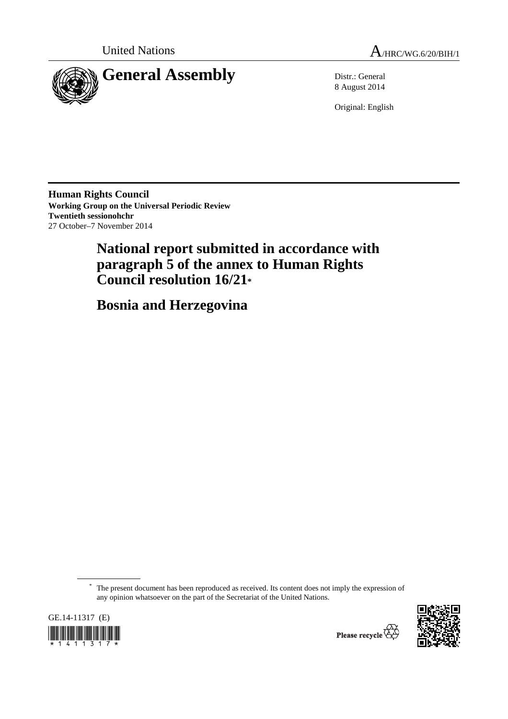



8 August 2014

Original: English

**Human Rights Council Working Group on the Universal Periodic Review Twentieth sessionohchr**  27 October–7 November 2014

# **National report submitted in accordance with paragraph 5 of the annex to Human Rights Council resolution 16/21\***

 **Bosnia and Herzegovina** 

\* The present document has been reproduced as received. Its content does not imply the expression of any opinion whatsoever on the part of the Secretariat of the United Nations.



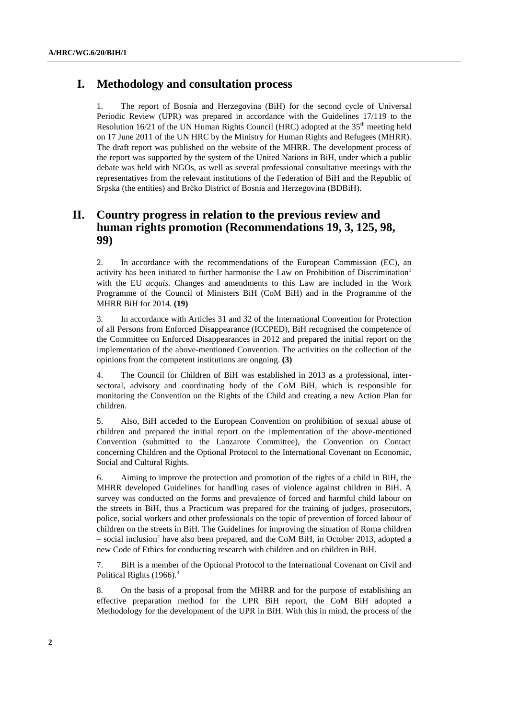## **I. Methodology and consultation process**

1. The report of Bosnia and Herzegovina (BiH) for the second cycle of Universal Periodic Review (UPR) was prepared in accordance with the Guidelines 17/119 to the Resolution  $16/21$  of the UN Human Rights Council (HRC) adopted at the  $35<sup>th</sup>$  meeting held on 17 June 2011 of the UN HRC by the Ministry for Human Rights and Refugees (MHRR). The draft report was published on the website of the MHRR. The development process of the report was supported by the system of the United Nations in BiH, under which a public debate was held with NGOs, as well as several professional consultative meetings with the representatives from the relevant institutions of the Federation of BiH and the Republic of Srpska (the entities) and Brčko District of Bosnia and Herzegovina (BDBiH).

## **II. Country progress in relation to the previous review and human rights promotion (Recommendations 19, 3, 125, 98, 99)**

2. In accordance with the recommendations of the European Commission (EC), an activity has been initiated to further harmonise the Law on Prohibition of Discrimination<sup>1</sup> with the EU *acquis*. Changes and amendments to this Law are included in the Work Programme of the Council of Ministers BiH (CoM BiH) and in the Programme of the MHRR BiH for 2014. **(19)**

3. In accordance with Articles 31 and 32 of the International Convention for Protection of all Persons from Enforced Disappearance (ICCPED), BiH recognised the competence of the Committee on Enforced Disappearances in 2012 and prepared the initial report on the implementation of the above-mentioned Convention. The activities on the collection of the opinions from the competent institutions are ongoing. **(3)** 

4. The Council for Children of BiH was established in 2013 as a professional, intersectoral, advisory and coordinating body of the CoM BiH, which is responsible for monitoring the Convention on the Rights of the Child and creating a new Action Plan for children.

5. Also, BiH acceded to the European Convention on prohibition of sexual abuse of children and prepared the initial report on the implementation of the above-mentioned Convention (submitted to the Lanzarote Committee), the Convention on Contact concerning Children and the Optional Protocol to the International Covenant on Economic, Social and Cultural Rights.

6. Aiming to improve the protection and promotion of the rights of a child in BiH, the MHRR developed Guidelines for handling cases of violence against children in BiH. A survey was conducted on the forms and prevalence of forced and harmful child labour on the streets in BiH, thus a Practicum was prepared for the training of judges, prosecutors, police, social workers and other professionals on the topic of prevention of forced labour of children on the streets in BiH. The Guidelines for improving the situation of Roma children – social inclusion<sup>2</sup> have also been prepared, and the CoM BiH, in October 2013, adopted a new Code of Ethics for conducting research with children and on children in BiH.

7. BiH is a member of the Optional Protocol to the International Covenant on Civil and Political Rights (1966).<sup>3</sup>

8. On the basis of a proposal from the MHRR and for the purpose of establishing an effective preparation method for the UPR BiH report, the CoM BiH adopted a Methodology for the development of the UPR in BiH. With this in mind, the process of the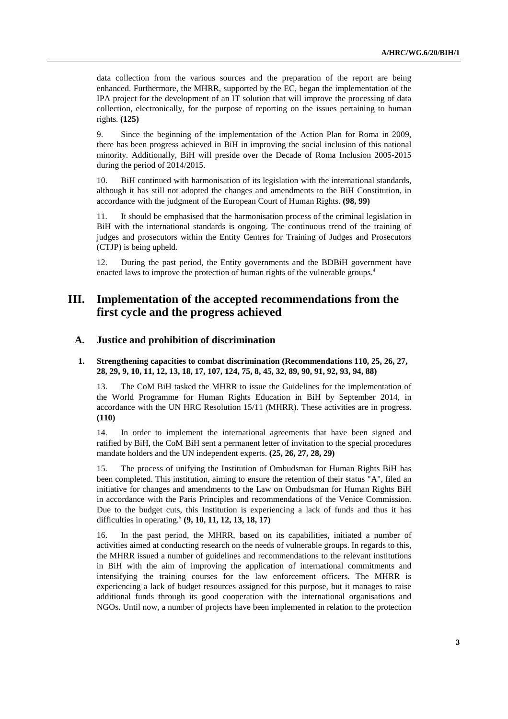data collection from the various sources and the preparation of the report are being enhanced. Furthermore, the MHRR, supported by the EC, began the implementation of the IPA project for the development of an IT solution that will improve the processing of data collection, electronically, for the purpose of reporting on the issues pertaining to human rights. **(125)**

9. Since the beginning of the implementation of the Action Plan for Roma in 2009, there has been progress achieved in BiH in improving the social inclusion of this national minority. Additionally, BiH will preside over the Decade of Roma Inclusion 2005-2015 during the period of 2014/2015.

10. BiH continued with harmonisation of its legislation with the international standards, although it has still not adopted the changes and amendments to the BiH Constitution, in accordance with the judgment of the European Court of Human Rights. **(98, 99)**

11. It should be emphasised that the harmonisation process of the criminal legislation in BiH with the international standards is ongoing. The continuous trend of the training of judges and prosecutors within the Entity Centres for Training of Judges and Prosecutors (CTJP) is being upheld.

12. During the past period, the Entity governments and the BDBiH government have enacted laws to improve the protection of human rights of the vulnerable groups.<sup>4</sup>

## **III. Implementation of the accepted recommendations from the first cycle and the progress achieved**

## **A. Justice and prohibition of discrimination**

### **1. Strengthening capacities to combat discrimination (Recommendations 110, 25, 26, 27, 28, 29, 9, 10, 11, 12, 13, 18, 17, 107, 124, 75, 8, 45, 32, 89, 90, 91, 92, 93, 94, 88)**

13. The CoM BiH tasked the MHRR to issue the Guidelines for the implementation of the World Programme for Human Rights Education in BiH by September 2014, in accordance with the UN HRC Resolution 15/11 (MHRR). These activities are in progress. **(110)** 

14. In order to implement the international agreements that have been signed and ratified by BiH, the CoM BiH sent a permanent letter of invitation to the special procedures mandate holders and the UN independent experts. **(25, 26, 27, 28, 29)** 

15. The process of unifying the Institution of Ombudsman for Human Rights BiH has been completed. This institution, aiming to ensure the retention of their status "A", filed an initiative for changes and amendments to the Law on Ombudsman for Human Rights BiH in accordance with the Paris Principles and recommendations of the Venice Commission. Due to the budget cuts, this Institution is experiencing a lack of funds and thus it has difficulties in operating.5 **(9, 10, 11, 12, 13, 18, 17)** 

16. In the past period, the MHRR, based on its capabilities, initiated a number of activities aimed at conducting research on the needs of vulnerable groups. In regards to this, the MHRR issued a number of guidelines and recommendations to the relevant institutions in BiH with the aim of improving the application of international commitments and intensifying the training courses for the law enforcement officers. The MHRR is experiencing a lack of budget resources assigned for this purpose, but it manages to raise additional funds through its good cooperation with the international organisations and NGOs. Until now, a number of projects have been implemented in relation to the protection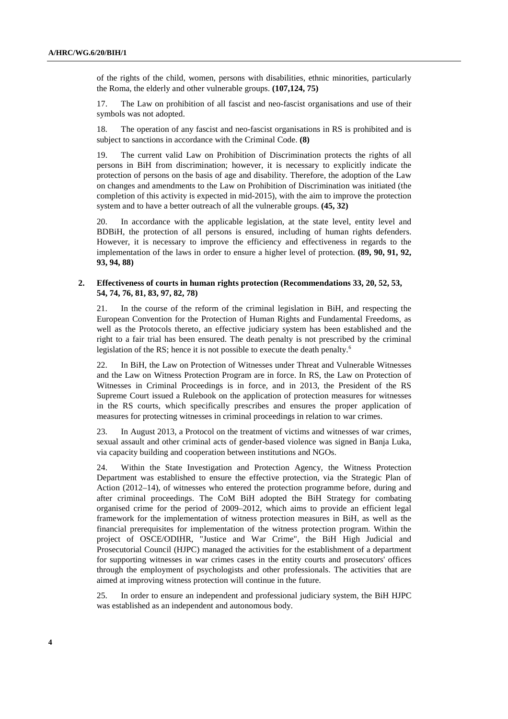of the rights of the child, women, persons with disabilities, ethnic minorities, particularly the Roma, the elderly and other vulnerable groups. **(107,124, 75)** 

17. The Law on prohibition of all fascist and neo-fascist organisations and use of their symbols was not adopted.

18. The operation of any fascist and neo-fascist organisations in RS is prohibited and is subject to sanctions in accordance with the Criminal Code. **(8)** 

19. The current valid Law on Prohibition of Discrimination protects the rights of all persons in BiH from discrimination; however, it is necessary to explicitly indicate the protection of persons on the basis of age and disability. Therefore, the adoption of the Law on changes and amendments to the Law on Prohibition of Discrimination was initiated (the completion of this activity is expected in mid-2015), with the aim to improve the protection system and to have a better outreach of all the vulnerable groups. **(45, 32)** 

20. In accordance with the applicable legislation, at the state level, entity level and BDBiH, the protection of all persons is ensured, including of human rights defenders. However, it is necessary to improve the efficiency and effectiveness in regards to the implementation of the laws in order to ensure a higher level of protection. **(89, 90, 91, 92, 93, 94, 88)** 

### **2. Effectiveness of courts in human rights protection (Recommendations 33, 20, 52, 53, 54, 74, 76, 81, 83, 97, 82, 78)**

21. In the course of the reform of the criminal legislation in BiH, and respecting the European Convention for the Protection of Human Rights and Fundamental Freedoms, as well as the Protocols thereto, an effective judiciary system has been established and the right to a fair trial has been ensured. The death penalty is not prescribed by the criminal legislation of the RS; hence it is not possible to execute the death penalty.<sup>6</sup>

22. In BiH, the Law on Protection of Witnesses under Threat and Vulnerable Witnesses and the Law on Witness Protection Program are in force. In RS, the Law on Protection of Witnesses in Criminal Proceedings is in force, and in 2013, the President of the RS Supreme Court issued a Rulebook on the application of protection measures for witnesses in the RS courts, which specifically prescribes and ensures the proper application of measures for protecting witnesses in criminal proceedings in relation to war crimes.

23. In August 2013, a Protocol on the treatment of victims and witnesses of war crimes, sexual assault and other criminal acts of gender-based violence was signed in Banja Luka, via capacity building and cooperation between institutions and NGOs.

24. Within the State Investigation and Protection Agency, the Witness Protection Department was established to ensure the effective protection, via the Strategic Plan of Action (2012–14), of witnesses who entered the protection programme before, during and after criminal proceedings. The CoM BiH adopted the BiH Strategy for combating organised crime for the period of 2009–2012, which aims to provide an efficient legal framework for the implementation of witness protection measures in BiH, as well as the financial prerequisites for implementation of the witness protection program. Within the project of OSCE/ODIHR, "Justice and War Crime", the BiH High Judicial and Prosecutorial Council (HJPC) managed the activities for the establishment of a department for supporting witnesses in war crimes cases in the entity courts and prosecutors' offices through the employment of psychologists and other professionals. The activities that are aimed at improving witness protection will continue in the future.

25. In order to ensure an independent and professional judiciary system, the BiH HJPC was established as an independent and autonomous body.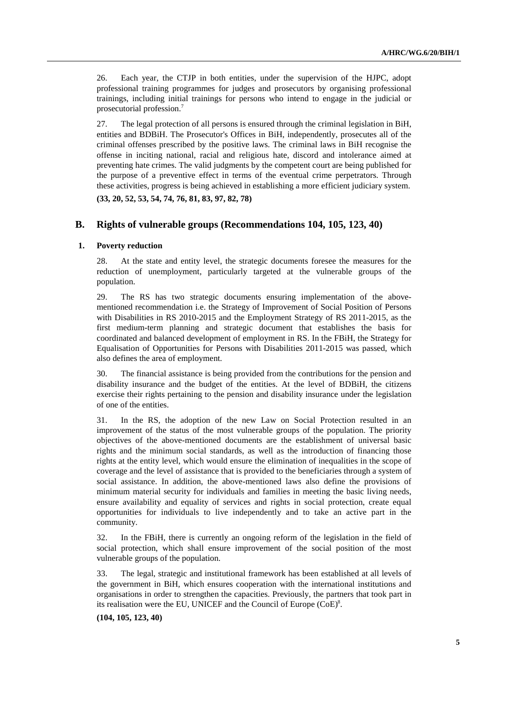26. Each year, the CTJP in both entities, under the supervision of the HJPC, adopt professional training programmes for judges and prosecutors by organising professional trainings, including initial trainings for persons who intend to engage in the judicial or prosecutorial profession.7

27. The legal protection of all persons is ensured through the criminal legislation in BiH, entities and BDBiH. The Prosecutor's Offices in BiH, independently, prosecutes all of the criminal offenses prescribed by the positive laws. The criminal laws in BiH recognise the offense in inciting national, racial and religious hate, discord and intolerance aimed at preventing hate crimes. The valid judgments by the competent court are being published for the purpose of a preventive effect in terms of the eventual crime perpetrators. Through these activities, progress is being achieved in establishing a more efficient judiciary system.

**(33, 20, 52, 53, 54, 74, 76, 81, 83, 97, 82, 78)** 

## **B. Rights of vulnerable groups (Recommendations 104, 105, 123, 40)**

#### **1. Poverty reduction**

28. At the state and entity level, the strategic documents foresee the measures for the reduction of unemployment, particularly targeted at the vulnerable groups of the population.

29. The RS has two strategic documents ensuring implementation of the abovementioned recommendation i.e. the Strategy of Improvement of Social Position of Persons with Disabilities in RS 2010-2015 and the Employment Strategy of RS 2011-2015, as the first medium-term planning and strategic document that establishes the basis for coordinated and balanced development of employment in RS. In the FBiH, the Strategy for Equalisation of Opportunities for Persons with Disabilities 2011-2015 was passed, which also defines the area of employment.

30. The financial assistance is being provided from the contributions for the pension and disability insurance and the budget of the entities. At the level of BDBiH, the citizens exercise their rights pertaining to the pension and disability insurance under the legislation of one of the entities.

31. In the RS, the adoption of the new Law on Social Protection resulted in an improvement of the status of the most vulnerable groups of the population. The priority objectives of the above-mentioned documents are the establishment of universal basic rights and the minimum social standards, as well as the introduction of financing those rights at the entity level, which would ensure the elimination of inequalities in the scope of coverage and the level of assistance that is provided to the beneficiaries through a system of social assistance. In addition, the above-mentioned laws also define the provisions of minimum material security for individuals and families in meeting the basic living needs, ensure availability and equality of services and rights in social protection, create equal opportunities for individuals to live independently and to take an active part in the community.

32. In the FBiH, there is currently an ongoing reform of the legislation in the field of social protection, which shall ensure improvement of the social position of the most vulnerable groups of the population.

33. The legal, strategic and institutional framework has been established at all levels of the government in BiH, which ensures cooperation with the international institutions and organisations in order to strengthen the capacities. Previously, the partners that took part in its realisation were the EU, UNICEF and the Council of Europe  $(CoE)^8$ .

## **(104, 105, 123, 40)**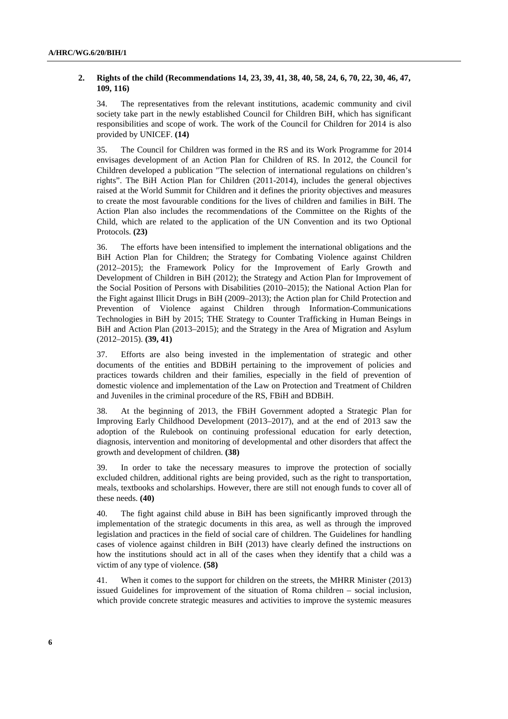## **2. Rights of the child (Recommendations 14, 23, 39, 41, 38, 40, 58, 24, 6, 70, 22, 30, 46, 47, 109, 116)**

34. The representatives from the relevant institutions, academic community and civil society take part in the newly established Council for Children BiH, which has significant responsibilities and scope of work. The work of the Council for Children for 2014 is also provided by UNICEF. **(14)**

35. The Council for Children was formed in the RS and its Work Programme for 2014 envisages development of an Action Plan for Children of RS. In 2012, the Council for Children developed a publication "The selection of international regulations on children's rights". The BiH Action Plan for Children (2011-2014), includes the general objectives raised at the World Summit for Children and it defines the priority objectives and measures to create the most favourable conditions for the lives of children and families in BiH. The Action Plan also includes the recommendations of the Committee on the Rights of the Child, which are related to the application of the UN Convention and its two Optional Protocols. **(23)**

36. The efforts have been intensified to implement the international obligations and the BiH Action Plan for Children; the Strategy for Combating Violence against Children (2012–2015); the Framework Policy for the Improvement of Early Growth and Development of Children in BiH (2012); the Strategy and Action Plan for Improvement of the Social Position of Persons with Disabilities (2010–2015); the National Action Plan for the Fight against Illicit Drugs in BiH (2009–2013); the Action plan for Child Protection and Prevention of Violence against Children through Information-Communications Technologies in BiH by 2015; THE Strategy to Counter Trafficking in Human Beings in BiH and Action Plan (2013–2015); and the Strategy in the Area of Migration and Asylum (2012–2015). **(39, 41)** 

37. Efforts are also being invested in the implementation of strategic and other documents of the entities and BDBiH pertaining to the improvement of policies and practices towards children and their families, especially in the field of prevention of domestic violence and implementation of the Law on Protection and Treatment of Children and Juveniles in the criminal procedure of the RS, FBiH and BDBiH.

38. At the beginning of 2013, the FBiH Government adopted a Strategic Plan for Improving Early Childhood Development (2013–2017), and at the end of 2013 saw the adoption of the Rulebook on continuing professional education for early detection, diagnosis, intervention and monitoring of developmental and other disorders that affect the growth and development of children. **(38)**

39. In order to take the necessary measures to improve the protection of socially excluded children, additional rights are being provided, such as the right to transportation, meals, textbooks and scholarships. However, there are still not enough funds to cover all of these needs. **(40)** 

40. The fight against child abuse in BiH has been significantly improved through the implementation of the strategic documents in this area, as well as through the improved legislation and practices in the field of social care of children. The Guidelines for handling cases of violence against children in BiH (2013) have clearly defined the instructions on how the institutions should act in all of the cases when they identify that a child was a victim of any type of violence. **(58)** 

41. When it comes to the support for children on the streets, the MHRR Minister (2013) issued Guidelines for improvement of the situation of Roma children – social inclusion, which provide concrete strategic measures and activities to improve the systemic measures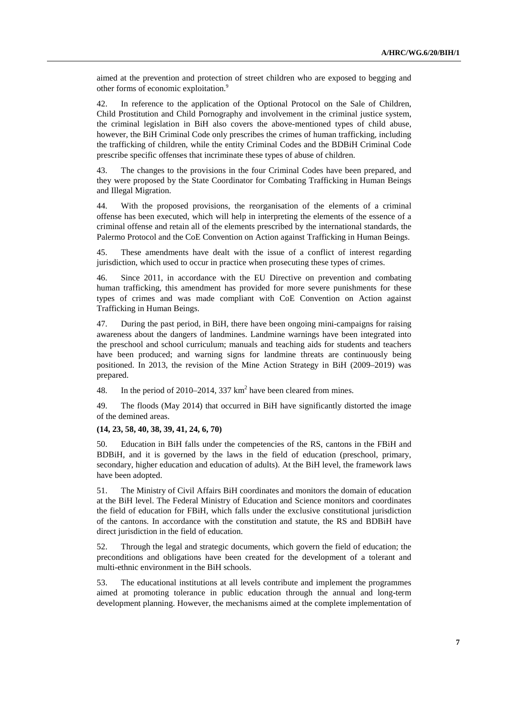aimed at the prevention and protection of street children who are exposed to begging and other forms of economic exploitation.<sup>9</sup>

42. In reference to the application of the Optional Protocol on the Sale of Children, Child Prostitution and Child Pornography and involvement in the criminal justice system, the criminal legislation in BiH also covers the above-mentioned types of child abuse, however, the BiH Criminal Code only prescribes the crimes of human trafficking, including the trafficking of children, while the entity Criminal Codes and the BDBiH Criminal Code prescribe specific offenses that incriminate these types of abuse of children.

43. The changes to the provisions in the four Criminal Codes have been prepared, and they were proposed by the State Coordinator for Combating Trafficking in Human Beings and Illegal Migration.

44. With the proposed provisions, the reorganisation of the elements of a criminal offense has been executed, which will help in interpreting the elements of the essence of a criminal offense and retain all of the elements prescribed by the international standards, the Palermo Protocol and the CoE Convention on Action against Trafficking in Human Beings.

45. These amendments have dealt with the issue of a conflict of interest regarding jurisdiction, which used to occur in practice when prosecuting these types of crimes.

46. Since 2011, in accordance with the EU Directive on prevention and combating human trafficking, this amendment has provided for more severe punishments for these types of crimes and was made compliant with CoE Convention on Action against Trafficking in Human Beings.

47. During the past period, in BiH, there have been ongoing mini-campaigns for raising awareness about the dangers of landmines. Landmine warnings have been integrated into the preschool and school curriculum; manuals and teaching aids for students and teachers have been produced; and warning signs for landmine threats are continuously being positioned. In 2013, the revision of the Mine Action Strategy in BiH (2009–2019) was prepared.

48. In the period of 2010–2014, 337  $km^2$  have been cleared from mines.

49. The floods (May 2014) that occurred in BiH have significantly distorted the image of the demined areas.

## **(14, 23, 58, 40, 38, 39, 41, 24, 6, 70)**

50. Education in BiH falls under the competencies of the RS, cantons in the FBiH and BDBiH, and it is governed by the laws in the field of education (preschool, primary, secondary, higher education and education of adults). At the BiH level, the framework laws have been adopted.

51. The Ministry of Civil Affairs BiH coordinates and monitors the domain of education at the BiH level. The Federal Ministry of Education and Science monitors and coordinates the field of education for FBiH, which falls under the exclusive constitutional jurisdiction of the cantons. In accordance with the constitution and statute, the RS and BDBiH have direct jurisdiction in the field of education.

52. Through the legal and strategic documents, which govern the field of education; the preconditions and obligations have been created for the development of a tolerant and multi-ethnic environment in the BiH schools.

53. The educational institutions at all levels contribute and implement the programmes aimed at promoting tolerance in public education through the annual and long-term development planning. However, the mechanisms aimed at the complete implementation of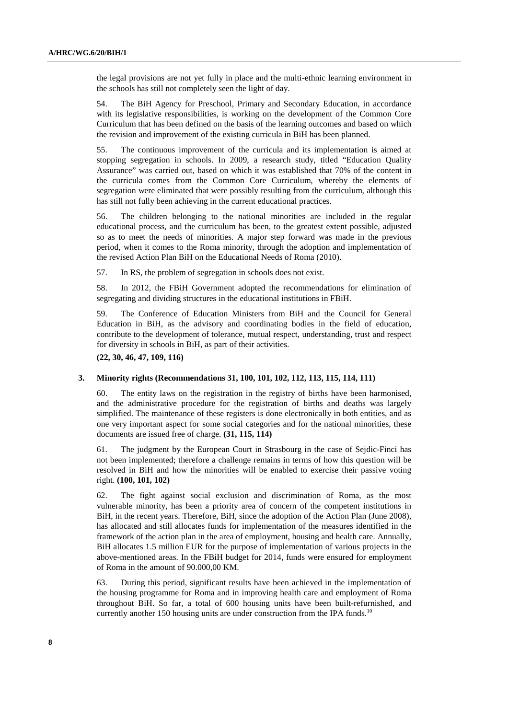the legal provisions are not yet fully in place and the multi-ethnic learning environment in the schools has still not completely seen the light of day.

54. The BiH Agency for Preschool, Primary and Secondary Education, in accordance with its legislative responsibilities, is working on the development of the Common Core Curriculum that has been defined on the basis of the learning outcomes and based on which the revision and improvement of the existing curricula in BiH has been planned.

55. The continuous improvement of the curricula and its implementation is aimed at stopping segregation in schools. In 2009, a research study, titled "Education Quality Assurance" was carried out, based on which it was established that 70% of the content in the curricula comes from the Common Core Curriculum, whereby the elements of segregation were eliminated that were possibly resulting from the curriculum, although this has still not fully been achieving in the current educational practices.

56. The children belonging to the national minorities are included in the regular educational process, and the curriculum has been, to the greatest extent possible, adjusted so as to meet the needs of minorities. A major step forward was made in the previous period, when it comes to the Roma minority, through the adoption and implementation of the revised Action Plan BiH on the Educational Needs of Roma (2010).

57. In RS, the problem of segregation in schools does not exist.

58. In 2012, the FBiH Government adopted the recommendations for elimination of segregating and dividing structures in the educational institutions in FBiH.

59. The Conference of Education Ministers from BiH and the Council for General Education in BiH, as the advisory and coordinating bodies in the field of education, contribute to the development of tolerance, mutual respect, understanding, trust and respect for diversity in schools in BiH, as part of their activities.

**(22, 30, 46, 47, 109, 116)** 

### **3. Minority rights (Recommendations 31, 100, 101, 102, 112, 113, 115, 114, 111)**

60. The entity laws on the registration in the registry of births have been harmonised, and the administrative procedure for the registration of births and deaths was largely simplified. The maintenance of these registers is done electronically in both entities, and as one very important aspect for some social categories and for the national minorities, these documents are issued free of charge. **(31, 115, 114)** 

61. The judgment by the European Court in Strasbourg in the case of Sejdic-Finci has not been implemented; therefore a challenge remains in terms of how this question will be resolved in BiH and how the minorities will be enabled to exercise their passive voting right. **(100, 101, 102)** 

62. The fight against social exclusion and discrimination of Roma, as the most vulnerable minority, has been a priority area of concern of the competent institutions in BiH, in the recent years. Therefore, BiH, since the adoption of the Action Plan (June 2008), has allocated and still allocates funds for implementation of the measures identified in the framework of the action plan in the area of employment, housing and health care. Annually, BiH allocates 1.5 million EUR for the purpose of implementation of various projects in the above-mentioned areas. In the FBiH budget for 2014, funds were ensured for employment of Roma in the amount of 90.000,00 KM.

63. During this period, significant results have been achieved in the implementation of the housing programme for Roma and in improving health care and employment of Roma throughout BiH. So far, a total of 600 housing units have been built-refurnished, and currently another 150 housing units are under construction from the IPA funds.<sup>10</sup>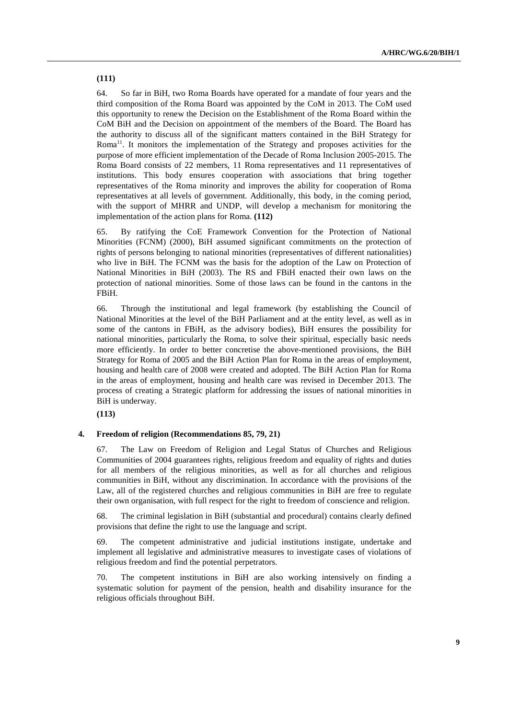64. So far in BiH, two Roma Boards have operated for a mandate of four years and the third composition of the Roma Board was appointed by the CoM in 2013. The CoM used this opportunity to renew the Decision on the Establishment of the Roma Board within the CoM BiH and the Decision on appointment of the members of the Board. The Board has the authority to discuss all of the significant matters contained in the BiH Strategy for Roma<sup>11</sup>. It monitors the implementation of the Strategy and proposes activities for the purpose of more efficient implementation of the Decade of Roma Inclusion 2005-2015. The Roma Board consists of 22 members, 11 Roma representatives and 11 representatives of institutions. This body ensures cooperation with associations that bring together representatives of the Roma minority and improves the ability for cooperation of Roma representatives at all levels of government. Additionally, this body, in the coming period, with the support of MHRR and UNDP, will develop a mechanism for monitoring the implementation of the action plans for Roma. **(112)** 

65. By ratifying the CoE Framework Convention for the Protection of National Minorities (FCNM) (2000), BiH assumed significant commitments on the protection of rights of persons belonging to national minorities (representatives of different nationalities) who live in BiH. The FCNM was the basis for the adoption of the Law on Protection of National Minorities in BiH (2003). The RS and FBiH enacted their own laws on the protection of national minorities. Some of those laws can be found in the cantons in the FBiH.

66. Through the institutional and legal framework (by establishing the Council of National Minorities at the level of the BiH Parliament and at the entity level, as well as in some of the cantons in FBiH, as the advisory bodies), BiH ensures the possibility for national minorities, particularly the Roma, to solve their spiritual, especially basic needs more efficiently. In order to better concretise the above-mentioned provisions, the BiH Strategy for Roma of 2005 and the BiH Action Plan for Roma in the areas of employment, housing and health care of 2008 were created and adopted. The BiH Action Plan for Roma in the areas of employment, housing and health care was revised in December 2013. The process of creating a Strategic platform for addressing the issues of national minorities in BiH is underway.

**(113)** 

## **4. Freedom of religion (Recommendations 85, 79, 21)**

67. The Law on Freedom of Religion and Legal Status of Churches and Religious Communities of 2004 guarantees rights, religious freedom and equality of rights and duties for all members of the religious minorities, as well as for all churches and religious communities in BiH, without any discrimination. In accordance with the provisions of the Law, all of the registered churches and religious communities in BiH are free to regulate their own organisation, with full respect for the right to freedom of conscience and religion.

68. The criminal legislation in BiH (substantial and procedural) contains clearly defined provisions that define the right to use the language and script.

69. The competent administrative and judicial institutions instigate, undertake and implement all legislative and administrative measures to investigate cases of violations of religious freedom and find the potential perpetrators.

70. The competent institutions in BiH are also working intensively on finding a systematic solution for payment of the pension, health and disability insurance for the religious officials throughout BiH.

**(111)**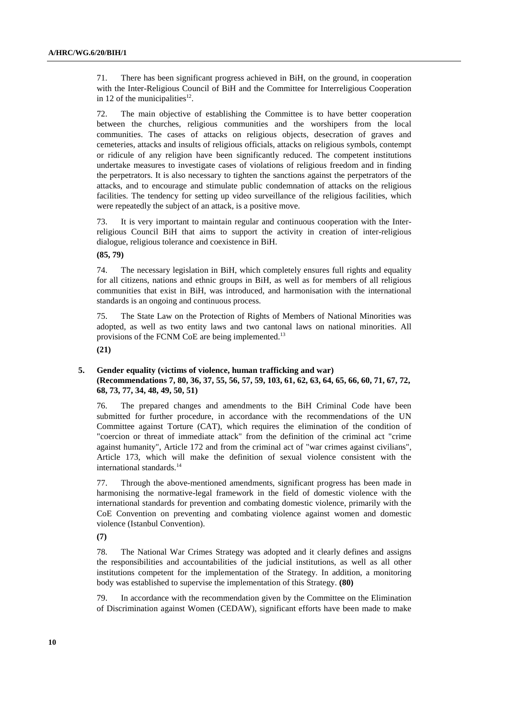71. There has been significant progress achieved in BiH, on the ground, in cooperation with the Inter-Religious Council of BiH and the Committee for Interreligious Cooperation in 12 of the municipalities<sup>12</sup>.

72. The main objective of establishing the Committee is to have better cooperation between the churches, religious communities and the worshipers from the local communities. The cases of attacks on religious objects, desecration of graves and cemeteries, attacks and insults of religious officials, attacks on religious symbols, contempt or ridicule of any religion have been significantly reduced. The competent institutions undertake measures to investigate cases of violations of religious freedom and in finding the perpetrators. It is also necessary to tighten the sanctions against the perpetrators of the attacks, and to encourage and stimulate public condemnation of attacks on the religious facilities. The tendency for setting up video surveillance of the religious facilities, which were repeatedly the subject of an attack, is a positive move.

73. It is very important to maintain regular and continuous cooperation with the Interreligious Council BiH that aims to support the activity in creation of inter-religious dialogue, religious tolerance and coexistence in BiH.

**(85, 79)** 

74. The necessary legislation in BiH, which completely ensures full rights and equality for all citizens, nations and ethnic groups in BiH, as well as for members of all religious communities that exist in BiH, was introduced, and harmonisation with the international standards is an ongoing and continuous process.

75. The State Law on the Protection of Rights of Members of National Minorities was adopted, as well as two entity laws and two cantonal laws on national minorities. All provisions of the FCNM CoE are being implemented.<sup>13</sup>

**(21)** 

## **5. Gender equality (victims of violence, human trafficking and war) (Recommendations 7, 80, 36, 37, 55, 56, 57, 59, 103, 61, 62, 63, 64, 65, 66, 60, 71, 67, 72, 68, 73, 77, 34, 48, 49, 50, 51)**

76. The prepared changes and amendments to the BiH Criminal Code have been submitted for further procedure, in accordance with the recommendations of the UN Committee against Torture (CAT), which requires the elimination of the condition of "coercion or threat of immediate attack" from the definition of the criminal act "crime against humanity", Article 172 and from the criminal act of "war crimes against civilians", Article 173, which will make the definition of sexual violence consistent with the international standards.<sup>14</sup>

77. Through the above-mentioned amendments, significant progress has been made in harmonising the normative-legal framework in the field of domestic violence with the international standards for prevention and combating domestic violence, primarily with the CoE Convention on preventing and combating violence against women and domestic violence (Istanbul Convention).

**(7)** 

78. The National War Crimes Strategy was adopted and it clearly defines and assigns the responsibilities and accountabilities of the judicial institutions, as well as all other institutions competent for the implementation of the Strategy. In addition, a monitoring body was established to supervise the implementation of this Strategy. **(80)** 

79. In accordance with the recommendation given by the Committee on the Elimination of Discrimination against Women (CEDAW), significant efforts have been made to make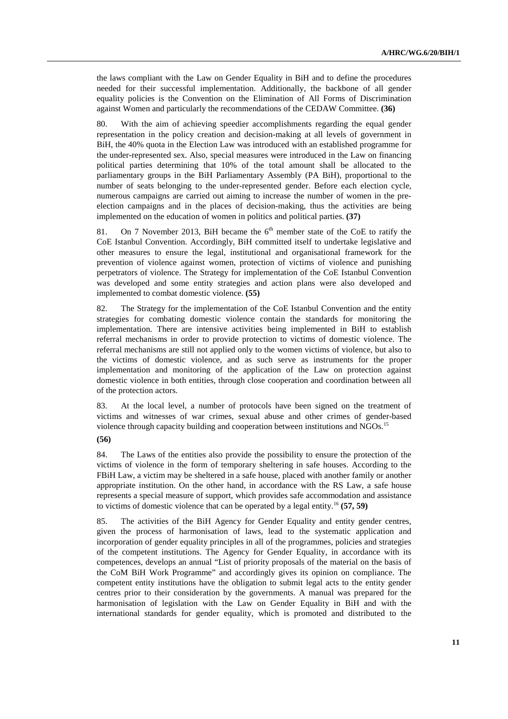the laws compliant with the Law on Gender Equality in BiH and to define the procedures needed for their successful implementation. Additionally, the backbone of all gender equality policies is the Convention on the Elimination of All Forms of Discrimination against Women and particularly the recommendations of the CEDAW Committee. **(36)** 

80. With the aim of achieving speedier accomplishments regarding the equal gender representation in the policy creation and decision-making at all levels of government in BiH, the 40% quota in the Election Law was introduced with an established programme for the under-represented sex. Also, special measures were introduced in the Law on financing political parties determining that 10% of the total amount shall be allocated to the parliamentary groups in the BiH Parliamentary Assembly (PA BiH), proportional to the number of seats belonging to the under-represented gender. Before each election cycle, numerous campaigns are carried out aiming to increase the number of women in the preelection campaigns and in the places of decision-making, thus the activities are being implemented on the education of women in politics and political parties. **(37)** 

81. On 7 November 2013, BiH became the  $6<sup>th</sup>$  member state of the CoE to ratify the CoE Istanbul Convention. Accordingly, BiH committed itself to undertake legislative and other measures to ensure the legal, institutional and organisational framework for the prevention of violence against women, protection of victims of violence and punishing perpetrators of violence. The Strategy for implementation of the CoE Istanbul Convention was developed and some entity strategies and action plans were also developed and implemented to combat domestic violence. **(55)** 

82. The Strategy for the implementation of the CoE Istanbul Convention and the entity strategies for combating domestic violence contain the standards for monitoring the implementation. There are intensive activities being implemented in BiH to establish referral mechanisms in order to provide protection to victims of domestic violence. The referral mechanisms are still not applied only to the women victims of violence, but also to the victims of domestic violence, and as such serve as instruments for the proper implementation and monitoring of the application of the Law on protection against domestic violence in both entities, through close cooperation and coordination between all of the protection actors.

83. At the local level, a number of protocols have been signed on the treatment of victims and witnesses of war crimes, sexual abuse and other crimes of gender-based violence through capacity building and cooperation between institutions and NGOs.<sup>15</sup>

#### **(56)**

84. The Laws of the entities also provide the possibility to ensure the protection of the victims of violence in the form of temporary sheltering in safe houses. According to the FBiH Law, a victim may be sheltered in a safe house, placed with another family or another appropriate institution. On the other hand, in accordance with the RS Law, a safe house represents a special measure of support, which provides safe accommodation and assistance to victims of domestic violence that can be operated by a legal entity.16 **(57, 59)** 

85. The activities of the BiH Agency for Gender Equality and entity gender centres, given the process of harmonisation of laws, lead to the systematic application and incorporation of gender equality principles in all of the programmes, policies and strategies of the competent institutions. The Agency for Gender Equality, in accordance with its competences, develops an annual "List of priority proposals of the material on the basis of the CoM BiH Work Programme" and accordingly gives its opinion on compliance. The competent entity institutions have the obligation to submit legal acts to the entity gender centres prior to their consideration by the governments. A manual was prepared for the harmonisation of legislation with the Law on Gender Equality in BiH and with the international standards for gender equality, which is promoted and distributed to the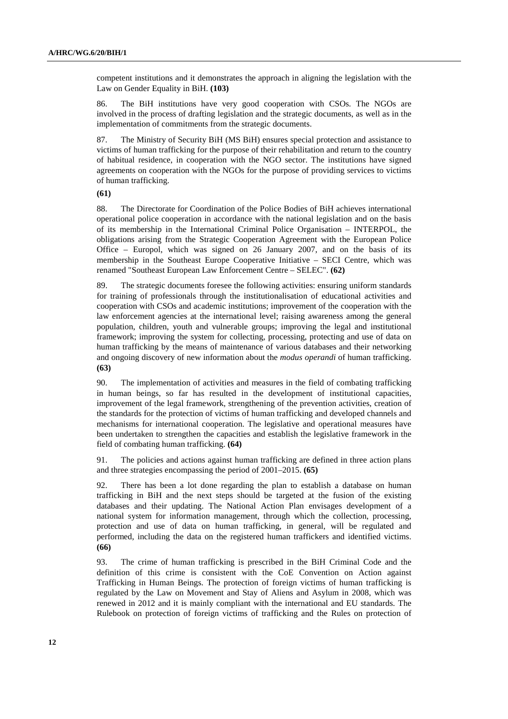competent institutions and it demonstrates the approach in aligning the legislation with the Law on Gender Equality in BiH. **(103)** 

86. The BiH institutions have very good cooperation with CSOs. The NGOs are involved in the process of drafting legislation and the strategic documents, as well as in the implementation of commitments from the strategic documents.

87. The Ministry of Security BiH (MS BiH) ensures special protection and assistance to victims of human trafficking for the purpose of their rehabilitation and return to the country of habitual residence, in cooperation with the NGO sector. The institutions have signed agreements on cooperation with the NGOs for the purpose of providing services to victims of human trafficking.

**(61)** 

88. The Directorate for Coordination of the Police Bodies of BiH achieves international operational police cooperation in accordance with the national legislation and on the basis of its membership in the International Criminal Police Organisation – INTERPOL, the obligations arising from the Strategic Cooperation Agreement with the European Police Office – Europol, which was signed on 26 January 2007, and on the basis of its membership in the Southeast Europe Cooperative Initiative – SECI Centre, which was renamed "Southeast European Law Enforcement Centre – SELEC". **(62)** 

89. The strategic documents foresee the following activities: ensuring uniform standards for training of professionals through the institutionalisation of educational activities and cooperation with CSOs and academic institutions; improvement of the cooperation with the law enforcement agencies at the international level; raising awareness among the general population, children, youth and vulnerable groups; improving the legal and institutional framework; improving the system for collecting, processing, protecting and use of data on human trafficking by the means of maintenance of various databases and their networking and ongoing discovery of new information about the *modus operandi* of human trafficking. **(63)** 

90. The implementation of activities and measures in the field of combating trafficking in human beings, so far has resulted in the development of institutional capacities, improvement of the legal framework, strengthening of the prevention activities, creation of the standards for the protection of victims of human trafficking and developed channels and mechanisms for international cooperation. The legislative and operational measures have been undertaken to strengthen the capacities and establish the legislative framework in the field of combating human trafficking. **(64)** 

91. The policies and actions against human trafficking are defined in three action plans and three strategies encompassing the period of 2001–2015. **(65)** 

92. There has been a lot done regarding the plan to establish a database on human trafficking in BiH and the next steps should be targeted at the fusion of the existing databases and their updating. The National Action Plan envisages development of a national system for information management, through which the collection, processing, protection and use of data on human trafficking, in general, will be regulated and performed, including the data on the registered human traffickers and identified victims. **(66)** 

93. The crime of human trafficking is prescribed in the BiH Criminal Code and the definition of this crime is consistent with the CoE Convention on Action against Trafficking in Human Beings. The protection of foreign victims of human trafficking is regulated by the Law on Movement and Stay of Aliens and Asylum in 2008, which was renewed in 2012 and it is mainly compliant with the international and EU standards. The Rulebook on protection of foreign victims of trafficking and the Rules on protection of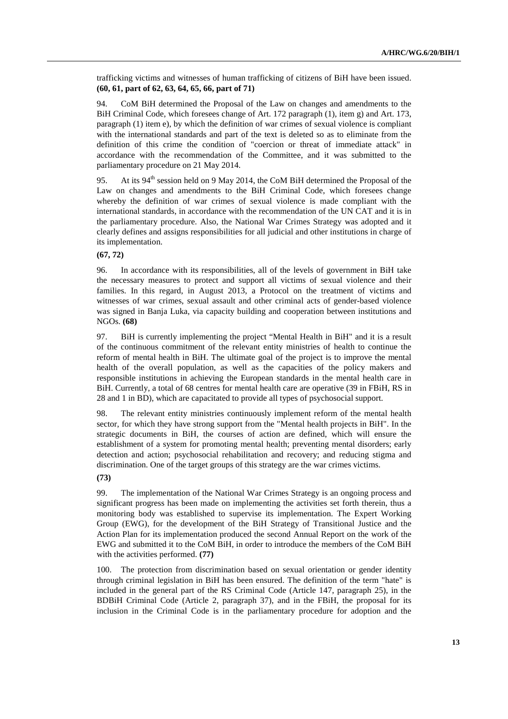trafficking victims and witnesses of human trafficking of citizens of BiH have been issued. **(60, 61, part of 62, 63, 64, 65, 66, part of 71)** 

94. CoM BiH determined the Proposal of the Law on changes and amendments to the BiH Criminal Code, which foresees change of Art. 172 paragraph (1), item g) and Art. 173, paragraph (1) item e), by which the definition of war crimes of sexual violence is compliant with the international standards and part of the text is deleted so as to eliminate from the definition of this crime the condition of "coercion or threat of immediate attack" in accordance with the recommendation of the Committee, and it was submitted to the parliamentary procedure on 21 May 2014.

95. At its  $94<sup>th</sup>$  session held on 9 May 2014, the CoM BiH determined the Proposal of the Law on changes and amendments to the BiH Criminal Code, which foresees change whereby the definition of war crimes of sexual violence is made compliant with the international standards, in accordance with the recommendation of the UN CAT and it is in the parliamentary procedure. Also, the National War Crimes Strategy was adopted and it clearly defines and assigns responsibilities for all judicial and other institutions in charge of its implementation.

## **(67, 72)**

96. In accordance with its responsibilities, all of the levels of government in BiH take the necessary measures to protect and support all victims of sexual violence and their families. In this regard, in August 2013, a Protocol on the treatment of victims and witnesses of war crimes, sexual assault and other criminal acts of gender-based violence was signed in Banja Luka, via capacity building and cooperation between institutions and NGOs. **(68)** 

97. BiH is currently implementing the project "Mental Health in BiH" and it is a result of the continuous commitment of the relevant entity ministries of health to continue the reform of mental health in BiH. The ultimate goal of the project is to improve the mental health of the overall population, as well as the capacities of the policy makers and responsible institutions in achieving the European standards in the mental health care in BiH. Currently, a total of 68 centres for mental health care are operative (39 in FBiH, RS in 28 and 1 in BD), which are capacitated to provide all types of psychosocial support.

98. The relevant entity ministries continuously implement reform of the mental health sector, for which they have strong support from the "Mental health projects in BiH". In the strategic documents in BiH, the courses of action are defined, which will ensure the establishment of a system for promoting mental health; preventing mental disorders; early detection and action; psychosocial rehabilitation and recovery; and reducing stigma and discrimination. One of the target groups of this strategy are the war crimes victims.

### **(73)**

99. The implementation of the National War Crimes Strategy is an ongoing process and significant progress has been made on implementing the activities set forth therein, thus a monitoring body was established to supervise its implementation. The Expert Working Group (EWG), for the development of the BiH Strategy of Transitional Justice and the Action Plan for its implementation produced the second Annual Report on the work of the EWG and submitted it to the CoM BiH, in order to introduce the members of the CoM BiH with the activities performed. **(77)**

100. The protection from discrimination based on sexual orientation or gender identity through criminal legislation in BiH has been ensured. The definition of the term "hate" is included in the general part of the RS Criminal Code (Article 147, paragraph 25), in the BDBiH Criminal Code (Article 2, paragraph 37), and in the FBiH, the proposal for its inclusion in the Criminal Code is in the parliamentary procedure for adoption and the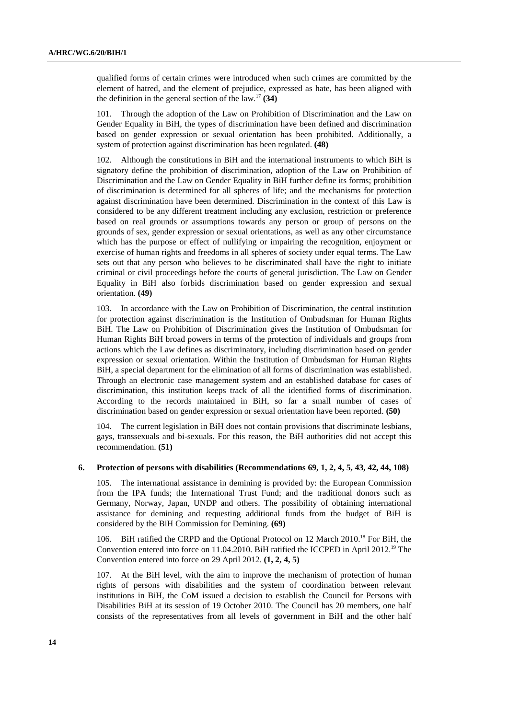qualified forms of certain crimes were introduced when such crimes are committed by the element of hatred, and the element of prejudice, expressed as hate, has been aligned with the definition in the general section of the law.<sup>17</sup>  $(34)$ 

101. Through the adoption of the Law on Prohibition of Discrimination and the Law on Gender Equality in BiH, the types of discrimination have been defined and discrimination based on gender expression or sexual orientation has been prohibited. Additionally, a system of protection against discrimination has been regulated. **(48)** 

102. Although the constitutions in BiH and the international instruments to which BiH is signatory define the prohibition of discrimination, adoption of the Law on Prohibition of Discrimination and the Law on Gender Equality in BiH further define its forms; prohibition of discrimination is determined for all spheres of life; and the mechanisms for protection against discrimination have been determined. Discrimination in the context of this Law is considered to be any different treatment including any exclusion, restriction or preference based on real grounds or assumptions towards any person or group of persons on the grounds of sex, gender expression or sexual orientations, as well as any other circumstance which has the purpose or effect of nullifying or impairing the recognition, enjoyment or exercise of human rights and freedoms in all spheres of society under equal terms. The Law sets out that any person who believes to be discriminated shall have the right to initiate criminal or civil proceedings before the courts of general jurisdiction. The Law on Gender Equality in BiH also forbids discrimination based on gender expression and sexual orientation. **(49)** 

103. In accordance with the Law on Prohibition of Discrimination, the central institution for protection against discrimination is the Institution of Ombudsman for Human Rights BiH. The Law on Prohibition of Discrimination gives the Institution of Ombudsman for Human Rights BiH broad powers in terms of the protection of individuals and groups from actions which the Law defines as discriminatory, including discrimination based on gender expression or sexual orientation. Within the Institution of Ombudsman for Human Rights BiH, a special department for the elimination of all forms of discrimination was established. Through an electronic case management system and an established database for cases of discrimination, this institution keeps track of all the identified forms of discrimination. According to the records maintained in BiH, so far a small number of cases of discrimination based on gender expression or sexual orientation have been reported. **(50)** 

104. The current legislation in BiH does not contain provisions that discriminate lesbians, gays, transsexuals and bi-sexuals. For this reason, the BiH authorities did not accept this recommendation. **(51)** 

#### **6. Protection of persons with disabilities (Recommendations 69, 1, 2, 4, 5, 43, 42, 44, 108)**

105. The international assistance in demining is provided by: the European Commission from the IPA funds; the International Trust Fund; and the traditional donors such as Germany, Norway, Japan, UNDP and others. The possibility of obtaining international assistance for demining and requesting additional funds from the budget of BiH is considered by the BiH Commission for Demining. **(69)** 

106. BiH ratified the CRPD and the Optional Protocol on 12 March 2010.18 For BiH, the Convention entered into force on 11.04.2010. BiH ratified the ICCPED in April 2012.<sup>19</sup> The Convention entered into force on 29 April 2012. **(1, 2, 4, 5)** 

107. At the BiH level, with the aim to improve the mechanism of protection of human rights of persons with disabilities and the system of coordination between relevant institutions in BiH, the CoM issued a decision to establish the Council for Persons with Disabilities BiH at its session of 19 October 2010. The Council has 20 members, one half consists of the representatives from all levels of government in BiH and the other half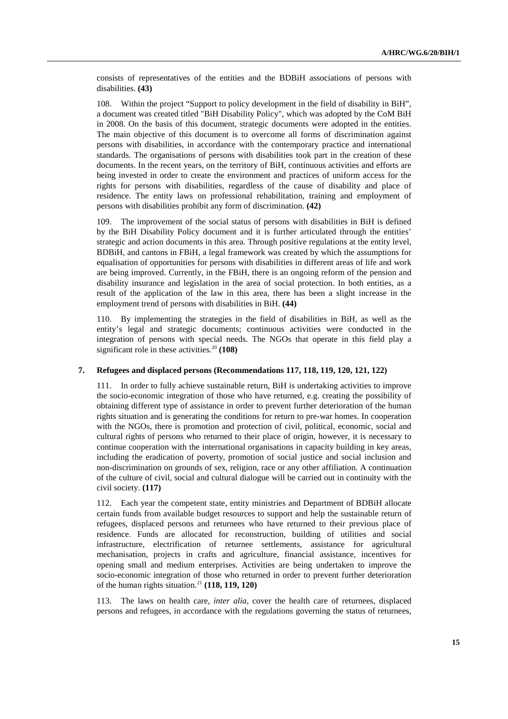consists of representatives of the entities and the BDBiH associations of persons with disabilities. **(43)** 

108. Within the project "Support to policy development in the field of disability in BiH", a document was created titled "BiH Disability Policy", which was adopted by the CoM BiH in 2008. On the basis of this document, strategic documents were adopted in the entities. The main objective of this document is to overcome all forms of discrimination against persons with disabilities, in accordance with the contemporary practice and international standards. The organisations of persons with disabilities took part in the creation of these documents. In the recent years, on the territory of BiH, continuous activities and efforts are being invested in order to create the environment and practices of uniform access for the rights for persons with disabilities, regardless of the cause of disability and place of residence. The entity laws on professional rehabilitation, training and employment of persons with disabilities prohibit any form of discrimination. **(42)** 

109. The improvement of the social status of persons with disabilities in BiH is defined by the BiH Disability Policy document and it is further articulated through the entities' strategic and action documents in this area. Through positive regulations at the entity level, BDBiH, and cantons in FBiH, a legal framework was created by which the assumptions for equalisation of opportunities for persons with disabilities in different areas of life and work are being improved. Currently, in the FBiH, there is an ongoing reform of the pension and disability insurance and legislation in the area of social protection. In both entities, as a result of the application of the law in this area, there has been a slight increase in the employment trend of persons with disabilities in BiH. **(44)** 

110. By implementing the strategies in the field of disabilities in BiH, as well as the entity's legal and strategic documents; continuous activities were conducted in the integration of persons with special needs. The NGOs that operate in this field play a significant role in these activities.<sup>20</sup> (108)

## **7. Refugees and displaced persons (Recommendations 117, 118, 119, 120, 121, 122)**

111. In order to fully achieve sustainable return, BiH is undertaking activities to improve the socio-economic integration of those who have returned, e.g. creating the possibility of obtaining different type of assistance in order to prevent further deterioration of the human rights situation and is generating the conditions for return to pre-war homes. In cooperation with the NGOs, there is promotion and protection of civil, political, economic, social and cultural rights of persons who returned to their place of origin, however, it is necessary to continue cooperation with the international organisations in capacity building in key areas, including the eradication of poverty, promotion of social justice and social inclusion and non-discrimination on grounds of sex, religion, race or any other affiliation. A continuation of the culture of civil, social and cultural dialogue will be carried out in continuity with the civil society. **(117)** 

112. Each year the competent state, entity ministries and Department of BDBiH allocate certain funds from available budget resources to support and help the sustainable return of refugees, displaced persons and returnees who have returned to their previous place of residence. Funds are allocated for reconstruction, building of utilities and social infrastructure, electrification of returnee settlements, assistance for agricultural mechanisation, projects in crafts and agriculture, financial assistance, incentives for opening small and medium enterprises. Activities are being undertaken to improve the socio-economic integration of those who returned in order to prevent further deterioration of the human rights situation.21 **(118, 119, 120)** 

113. The laws on health care, *inter alia*, cover the health care of returnees, displaced persons and refugees, in accordance with the regulations governing the status of returnees,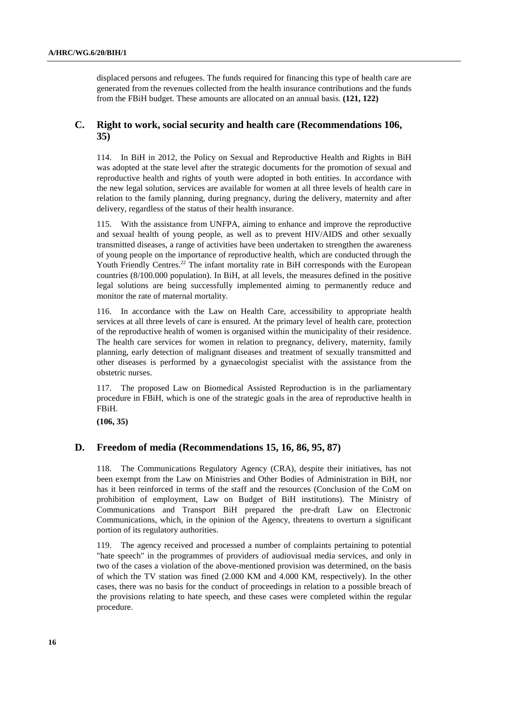displaced persons and refugees. The funds required for financing this type of health care are generated from the revenues collected from the health insurance contributions and the funds from the FBiH budget. These amounts are allocated on an annual basis. **(121, 122)** 

## **C. Right to work, social security and health care (Recommendations 106, 35)**

114. In BiH in 2012, the Policy on Sexual and Reproductive Health and Rights in BiH was adopted at the state level after the strategic documents for the promotion of sexual and reproductive health and rights of youth were adopted in both entities. In accordance with the new legal solution, services are available for women at all three levels of health care in relation to the family planning, during pregnancy, during the delivery, maternity and after delivery, regardless of the status of their health insurance.

115. With the assistance from UNFPA, aiming to enhance and improve the reproductive and sexual health of young people, as well as to prevent HIV/AIDS and other sexually transmitted diseases, a range of activities have been undertaken to strengthen the awareness of young people on the importance of reproductive health, which are conducted through the Youth Friendly Centres.<sup>22</sup> The infant mortality rate in BiH corresponds with the European countries (8/100.000 population). In BiH, at all levels, the measures defined in the positive legal solutions are being successfully implemented aiming to permanently reduce and monitor the rate of maternal mortality.

116. In accordance with the Law on Health Care, accessibility to appropriate health services at all three levels of care is ensured. At the primary level of health care, protection of the reproductive health of women is organised within the municipality of their residence. The health care services for women in relation to pregnancy, delivery, maternity, family planning, early detection of malignant diseases and treatment of sexually transmitted and other diseases is performed by a gynaecologist specialist with the assistance from the obstetric nurses.

117. The proposed Law on Biomedical Assisted Reproduction is in the parliamentary procedure in FBiH, which is one of the strategic goals in the area of reproductive health in FBiH.

**(106, 35)** 

## **D. Freedom of media (Recommendations 15, 16, 86, 95, 87)**

118. The Communications Regulatory Agency (CRA), despite their initiatives, has not been exempt from the Law on Ministries and Other Bodies of Administration in BiH, nor has it been reinforced in terms of the staff and the resources (Conclusion of the CoM on prohibition of employment, Law on Budget of BiH institutions). The Ministry of Communications and Transport BiH prepared the pre-draft Law on Electronic Communications, which, in the opinion of the Agency, threatens to overturn a significant portion of its regulatory authorities.

119. The agency received and processed a number of complaints pertaining to potential "hate speech" in the programmes of providers of audiovisual media services, and only in two of the cases a violation of the above-mentioned provision was determined, on the basis of which the TV station was fined (2.000 KM and 4.000 KM, respectively). In the other cases, there was no basis for the conduct of proceedings in relation to a possible breach of the provisions relating to hate speech, and these cases were completed within the regular procedure.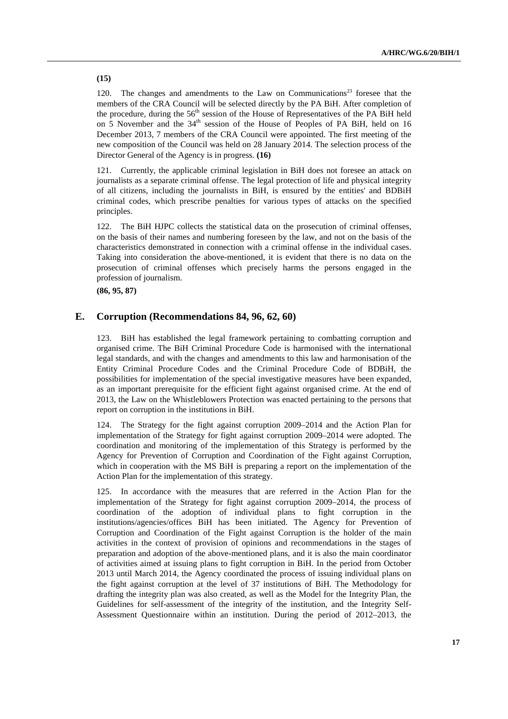**(15)** 

120. The changes and amendments to the Law on Communications<sup>23</sup> foresee that the members of the CRA Council will be selected directly by the PA BiH. After completion of the procedure, during the  $56<sup>th</sup>$  session of the House of Representatives of the PA BiH held on 5 November and the  $34<sup>th</sup>$  session of the House of Peoples of PA BiH, held on 16 December 2013, 7 members of the CRA Council were appointed. The first meeting of the new composition of the Council was held on 28 January 2014. The selection process of the Director General of the Agency is in progress. **(16)** 

121. Currently, the applicable criminal legislation in BiH does not foresee an attack on journalists as a separate criminal offense. The legal protection of life and physical integrity of all citizens, including the journalists in BiH, is ensured by the entities' and BDBiH criminal codes, which prescribe penalties for various types of attacks on the specified principles.

122. The BiH HJPC collects the statistical data on the prosecution of criminal offenses, on the basis of their names and numbering foreseen by the law, and not on the basis of the characteristics demonstrated in connection with a criminal offense in the individual cases. Taking into consideration the above-mentioned, it is evident that there is no data on the prosecution of criminal offenses which precisely harms the persons engaged in the profession of journalism.

**(86, 95, 87)** 

## **E. Corruption (Recommendations 84, 96, 62, 60)**

BiH has established the legal framework pertaining to combatting corruption and organised crime. The BiH Criminal Procedure Code is harmonised with the international legal standards, and with the changes and amendments to this law and harmonisation of the Entity Criminal Procedure Codes and the Criminal Procedure Code of BDBiH, the possibilities for implementation of the special investigative measures have been expanded, as an important prerequisite for the efficient fight against organised crime. At the end of 2013, the Law on the Whistleblowers Protection was enacted pertaining to the persons that report on corruption in the institutions in BiH.

124. The Strategy for the fight against corruption 2009–2014 and the Action Plan for implementation of the Strategy for fight against corruption 2009–2014 were adopted. The coordination and monitoring of the implementation of this Strategy is performed by the Agency for Prevention of Corruption and Coordination of the Fight against Corruption, which in cooperation with the MS BiH is preparing a report on the implementation of the Action Plan for the implementation of this strategy.

125. In accordance with the measures that are referred in the Action Plan for the implementation of the Strategy for fight against corruption 2009–2014, the process of coordination of the adoption of individual plans to fight corruption in the institutions/agencies/offices BiH has been initiated. The Agency for Prevention of Corruption and Coordination of the Fight against Corruption is the holder of the main activities in the context of provision of opinions and recommendations in the stages of preparation and adoption of the above-mentioned plans, and it is also the main coordinator of activities aimed at issuing plans to fight corruption in BiH. In the period from October 2013 until March 2014, the Agency coordinated the process of issuing individual plans on the fight against corruption at the level of 37 institutions of BiH. The Methodology for drafting the integrity plan was also created, as well as the Model for the Integrity Plan, the Guidelines for self-assessment of the integrity of the institution, and the Integrity Self-Assessment Questionnaire within an institution. During the period of 2012–2013, the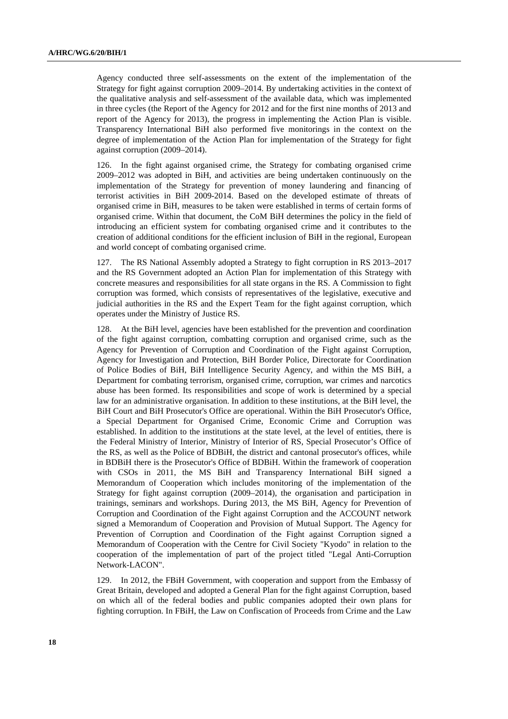Agency conducted three self-assessments on the extent of the implementation of the Strategy for fight against corruption 2009–2014. By undertaking activities in the context of the qualitative analysis and self-assessment of the available data, which was implemented in three cycles (the Report of the Agency for 2012 and for the first nine months of 2013 and report of the Agency for 2013), the progress in implementing the Action Plan is visible. Transparency International BiH also performed five monitorings in the context on the degree of implementation of the Action Plan for implementation of the Strategy for fight against corruption (2009–2014).

126. In the fight against organised crime, the Strategy for combating organised crime 2009–2012 was adopted in BiH, and activities are being undertaken continuously on the implementation of the Strategy for prevention of money laundering and financing of terrorist activities in BiH 2009-2014. Based on the developed estimate of threats of organised crime in BiH, measures to be taken were established in terms of certain forms of organised crime. Within that document, the CoM BiH determines the policy in the field of introducing an efficient system for combating organised crime and it contributes to the creation of additional conditions for the efficient inclusion of BiH in the regional, European and world concept of combating organised crime.

127. The RS National Assembly adopted a Strategy to fight corruption in RS 2013–2017 and the RS Government adopted an Action Plan for implementation of this Strategy with concrete measures and responsibilities for all state organs in the RS. A Commission to fight corruption was formed, which consists of representatives of the legislative, executive and judicial authorities in the RS and the Expert Team for the fight against corruption, which operates under the Ministry of Justice RS.

128. At the BiH level, agencies have been established for the prevention and coordination of the fight against corruption, combatting corruption and organised crime, such as the Agency for Prevention of Corruption and Coordination of the Fight against Corruption, Agency for Investigation and Protection, BiH Border Police, Directorate for Coordination of Police Bodies of BiH, BiH Intelligence Security Agency, and within the MS BiH, a Department for combating terrorism, organised crime, corruption, war crimes and narcotics abuse has been formed. Its responsibilities and scope of work is determined by a special law for an administrative organisation. In addition to these institutions, at the BiH level, the BiH Court and BiH Prosecutor's Office are operational. Within the BiH Prosecutor's Office, a Special Department for Organised Crime, Economic Crime and Corruption was established. In addition to the institutions at the state level, at the level of entities, there is the Federal Ministry of Interior, Ministry of Interior of RS, Special Prosecutor's Office of the RS, as well as the Police of BDBiH, the district and cantonal prosecutor's offices, while in BDBiH there is the Prosecutor's Office of BDBiH. Within the framework of cooperation with CSOs in 2011, the MS BiH and Transparency International BiH signed a Memorandum of Cooperation which includes monitoring of the implementation of the Strategy for fight against corruption (2009–2014), the organisation and participation in trainings, seminars and workshops. During 2013, the MS BiH, Agency for Prevention of Corruption and Coordination of the Fight against Corruption and the ACCOUNT network signed a Memorandum of Cooperation and Provision of Mutual Support. The Agency for Prevention of Corruption and Coordination of the Fight against Corruption signed a Memorandum of Cooperation with the Centre for Civil Society "Kyodo" in relation to the cooperation of the implementation of part of the project titled "Legal Anti-Corruption Network-LACON".

129. In 2012, the FBiH Government, with cooperation and support from the Embassy of Great Britain, developed and adopted a General Plan for the fight against Corruption, based on which all of the federal bodies and public companies adopted their own plans for fighting corruption. In FBiH, the Law on Confiscation of Proceeds from Crime and the Law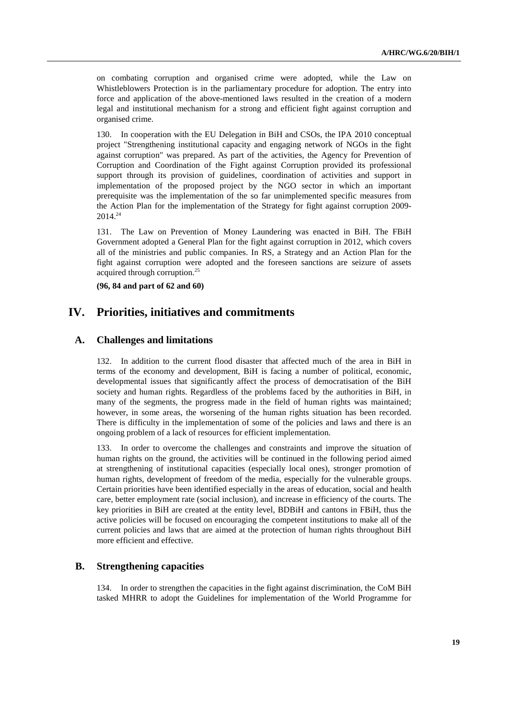on combating corruption and organised crime were adopted, while the Law on Whistleblowers Protection is in the parliamentary procedure for adoption. The entry into force and application of the above-mentioned laws resulted in the creation of a modern legal and institutional mechanism for a strong and efficient fight against corruption and organised crime.

130. In cooperation with the EU Delegation in BiH and CSOs, the IPA 2010 conceptual project "Strengthening institutional capacity and engaging network of NGOs in the fight against corruption" was prepared. As part of the activities, the Agency for Prevention of Corruption and Coordination of the Fight against Corruption provided its professional support through its provision of guidelines, coordination of activities and support in implementation of the proposed project by the NGO sector in which an important prerequisite was the implementation of the so far unimplemented specific measures from the Action Plan for the implementation of the Strategy for fight against corruption 2009-  $2014.<sup>24</sup>$ 

131. The Law on Prevention of Money Laundering was enacted in BiH. The FBiH Government adopted a General Plan for the fight against corruption in 2012, which covers all of the ministries and public companies. In RS, a Strategy and an Action Plan for the fight against corruption were adopted and the foreseen sanctions are seizure of assets acquired through corruption.<sup>25</sup>

**(96, 84 and part of 62 and 60)** 

## **IV. Priorities, initiatives and commitments**

## **A. Challenges and limitations**

132. In addition to the current flood disaster that affected much of the area in BiH in terms of the economy and development, BiH is facing a number of political, economic, developmental issues that significantly affect the process of democratisation of the BiH society and human rights. Regardless of the problems faced by the authorities in BiH, in many of the segments, the progress made in the field of human rights was maintained; however, in some areas, the worsening of the human rights situation has been recorded. There is difficulty in the implementation of some of the policies and laws and there is an ongoing problem of a lack of resources for efficient implementation.

133. In order to overcome the challenges and constraints and improve the situation of human rights on the ground, the activities will be continued in the following period aimed at strengthening of institutional capacities (especially local ones), stronger promotion of human rights, development of freedom of the media, especially for the vulnerable groups. Certain priorities have been identified especially in the areas of education, social and health care, better employment rate (social inclusion), and increase in efficiency of the courts. The key priorities in BiH are created at the entity level, BDBiH and cantons in FBiH, thus the active policies will be focused on encouraging the competent institutions to make all of the current policies and laws that are aimed at the protection of human rights throughout BiH more efficient and effective.

## **B. Strengthening capacities**

134. In order to strengthen the capacities in the fight against discrimination, the CoM BiH tasked MHRR to adopt the Guidelines for implementation of the World Programme for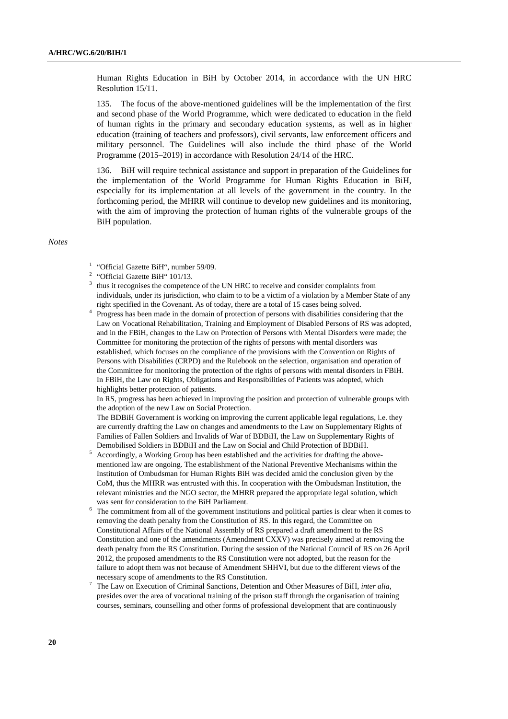Human Rights Education in BiH by October 2014, in accordance with the UN HRC Resolution 15/11.

135. The focus of the above-mentioned guidelines will be the implementation of the first and second phase of the World Programme, which were dedicated to education in the field of human rights in the primary and secondary education systems, as well as in higher education (training of teachers and professors), civil servants, law enforcement officers and military personnel. The Guidelines will also include the third phase of the World Programme (2015–2019) in accordance with Resolution 24/14 of the HRC.

136. BiH will require technical assistance and support in preparation of the Guidelines for the implementation of the World Programme for Human Rights Education in BiH, especially for its implementation at all levels of the government in the country. In the forthcoming period, the MHRR will continue to develop new guidelines and its monitoring, with the aim of improving the protection of human rights of the vulnerable groups of the BiH population.

#### *Notes*

- <sup>1</sup> "Official Gazette BiH", number 59/09.
- <sup>2</sup> "Official Gazette BiH"  $101/13$ .
- <sup>3</sup> thus it recognises the competence of the UN HRC to receive and consider complaints from individuals, under its jurisdiction, who claim to to be a victim of a violation by a Member State of any right specified in the Covenant. As of today, there are a total of 15 cases being solved.
- right specified in the Covenant. As of today, there are a total of 15 cases being solved. 4 Progress has been made in the domain of protection of persons with disabilities considering that the Law on Vocational Rehabilitation, Training and Employment of Disabled Persons of RS was adopted, and in the FBiH, changes to the Law on Protection of Persons with Mental Disorders were made; the Committee for monitoring the protection of the rights of persons with mental disorders was established, which focuses on the compliance of the provisions with the Convention on Rights of Persons with Disabilities (CRPD) and the Rulebook on the selection, organisation and operation of the Committee for monitoring the protection of the rights of persons with mental disorders in FBiH. In FBiH, the Law on Rights, Obligations and Responsibilities of Patients was adopted, which highlights better protection of patients.

 In RS, progress has been achieved in improving the position and protection of vulnerable groups with the adoption of the new Law on Social Protection.

 The BDBiH Government is working on improving the current applicable legal regulations, i.e. they are currently drafting the Law on changes and amendments to the Law on Supplementary Rights of Families of Fallen Soldiers and Invalids of War of BDBiH, the Law on Supplementary Rights of Demobilised Soldiers in BDBiH and the Law on Social and Child Protection of BDBiH. 5

- Accordingly, a Working Group has been established and the activities for drafting the abovementioned law are ongoing. The establishment of the National Preventive Mechanisms within the Institution of Ombudsman for Human Rights BiH was decided amid the conclusion given by the CoM, thus the MHRR was entrusted with this. In cooperation with the Ombudsman Institution, the relevant ministries and the NGO sector, the MHRR prepared the appropriate legal solution, which was sent for consideration to the BiH Parliament.
- The commitment from all of the government institutions and political parties is clear when it comes to removing the death penalty from the Constitution of RS. In this regard, the Committee on Constitutional Affairs of the National Assembly of RS prepared a draft amendment to the RS Constitution and one of the amendments (Amendment CXXV) was precisely aimed at removing the death penalty from the RS Constitution. During the session of the National Council of RS on 26 April 2012, the proposed amendments to the RS Constitution were not adopted, but the reason for the failure to adopt them was not because of Amendment SHHVI, but due to the different views of the necessary scope of amendments to the RS Constitution. 7
- The Law on Execution of Criminal Sanctions, Detention and Other Measures of BiH, *inter alia*, presides over the area of vocational training of the prison staff through the organisation of training courses, seminars, counselling and other forms of professional development that are continuously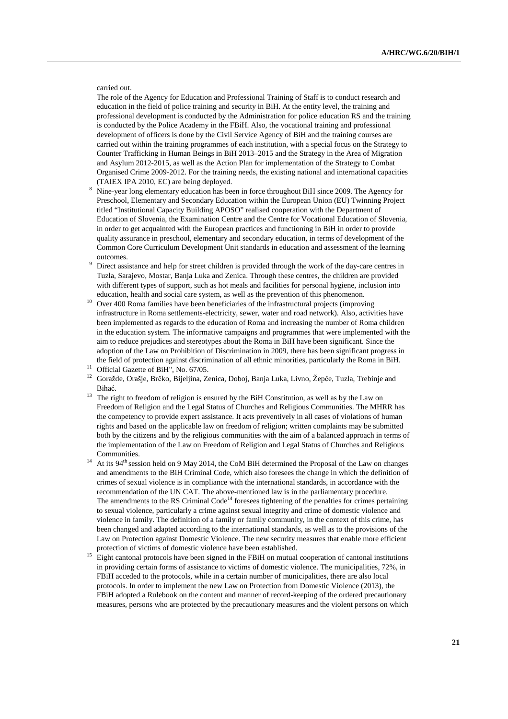carried out.

 The role of the Agency for Education and Professional Training of Staff is to conduct research and education in the field of police training and security in BiH. At the entity level, the training and professional development is conducted by the Administration for police education RS and the training is conducted by the Police Academy in the FBiH. Also, the vocational training and professional development of officers is done by the Civil Service Agency of BiH and the training courses are carried out within the training programmes of each institution, with a special focus on the Strategy to Counter Trafficking in Human Beings in BiH 2013–2015 and the Strategy in the Area of Migration and Asylum 2012-2015, as well as the Action Plan for implementation of the Strategy to Combat Organised Crime 2009-2012. For the training needs, the existing national and international capacities (TAIEX IPA 2010, EC) are being deployed.

- Nine-year long elementary education has been in force throughout BiH since 2009. The Agency for Preschool, Elementary and Secondary Education within the European Union (EU) Twinning Project titled "Institutional Capacity Building APOSO" realised cooperation with the Department of Education of Slovenia, the Examination Centre and the Centre for Vocational Education of Slovenia, in order to get acquainted with the European practices and functioning in BiH in order to provide quality assurance in preschool, elementary and secondary education, in terms of development of the Common Core Curriculum Development Unit standards in education and assessment of the learning outcomes.
- Direct assistance and help for street children is provided through the work of the day-care centres in Tuzla, Sarajevo, Mostar, Banja Luka and Zenica. Through these centres, the children are provided with different types of support, such as hot meals and facilities for personal hygiene, inclusion into
- education, health and social care system, as well as the prevention of this phenomenon. 10 Over 400 Roma families have been beneficiaries of the infrastructural projects (improving infrastructure in Roma settlements-electricity, sewer, water and road network). Also, activities have been implemented as regards to the education of Roma and increasing the number of Roma children in the education system. The informative campaigns and programmes that were implemented with the aim to reduce prejudices and stereotypes about the Roma in BiH have been significant. Since the adoption of the Law on Prohibition of Discrimination in 2009, there has been significant progress in the field of protection against discrimination of all ethnic minorities, particularly the Roma in BiH.<br><sup>11</sup> Official Gazette of BiH", No. 67/05.
- 
- 12 Goražde, Orašje, Brčko, Bijeljina, Zenica, Doboj, Banja Luka, Livno, Žepče, Tuzla, Trebinje and Bihać.<br><sup>13</sup> The right to freedom of religion is ensured by the BiH Constitution, as well as by the Law on
- Freedom of Religion and the Legal Status of Churches and Religious Communities. The MHRR has the competency to provide expert assistance. It acts preventively in all cases of violations of human rights and based on the applicable law on freedom of religion; written complaints may be submitted both by the citizens and by the religious communities with the aim of a balanced approach in terms of the implementation of the Law on Freedom of Religion and Legal Status of Churches and Religious Communities.<br><sup>14</sup> At its 94<sup>th</sup> session held on 9 May 2014, the CoM BiH determined the Proposal of the Law on changes
- and amendments to the BiH Criminal Code, which also foresees the change in which the definition of crimes of sexual violence is in compliance with the international standards, in accordance with the recommendation of the UN CAT. The above-mentioned law is in the parliamentary procedure. The amendments to the RS Criminal Code<sup>14</sup> foresees tightening of the penalties for crimes pertaining to sexual violence, particularly a crime against sexual integrity and crime of domestic violence and violence in family. The definition of a family or family community, in the context of this crime, has been changed and adapted according to the international standards, as well as to the provisions of the Law on Protection against Domestic Violence. The new security measures that enable more efficient
- protection of victims of domestic violence have been established.<br><sup>15</sup> Eight cantonal protocols have been signed in the FBiH on mutual cooperation of cantonal institutions in providing certain forms of assistance to victims of domestic violence. The municipalities, 72%, in FBiH acceded to the protocols, while in a certain number of municipalities, there are also local protocols. In order to implement the new Law on Protection from Domestic Violence (2013), the FBiH adopted a Rulebook on the content and manner of record-keeping of the ordered precautionary measures, persons who are protected by the precautionary measures and the violent persons on which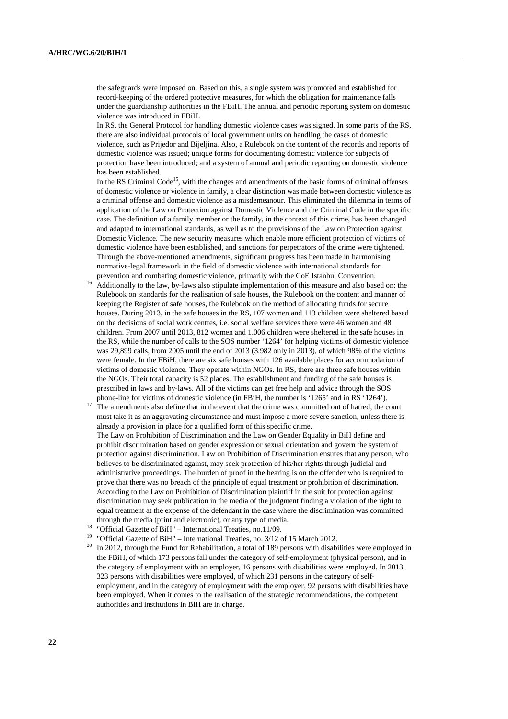the safeguards were imposed on. Based on this, a single system was promoted and established for record-keeping of the ordered protective measures, for which the obligation for maintenance falls under the guardianship authorities in the FBiH. The annual and periodic reporting system on domestic violence was introduced in FBiH.

 In RS, the General Protocol for handling domestic violence cases was signed. In some parts of the RS, there are also individual protocols of local government units on handling the cases of domestic violence, such as Prijedor and Bijeljina. Also, a Rulebook on the content of the records and reports of domestic violence was issued; unique forms for documenting domestic violence for subjects of protection have been introduced; and a system of annual and periodic reporting on domestic violence has been established.

In the RS Criminal  $Code^{15}$ , with the changes and amendments of the basic forms of criminal offenses of domestic violence or violence in family, a clear distinction was made between domestic violence as a criminal offense and domestic violence as a misdemeanour. This eliminated the dilemma in terms of application of the Law on Protection against Domestic Violence and the Criminal Code in the specific case. The definition of a family member or the family, in the context of this crime, has been changed and adapted to international standards, as well as to the provisions of the Law on Protection against Domestic Violence. The new security measures which enable more efficient protection of victims of domestic violence have been established, and sanctions for perpetrators of the crime were tightened. Through the above-mentioned amendments, significant progress has been made in harmonising normative-legal framework in the field of domestic violence with international standards for

- prevention and combating domestic violence, primarily with the CoE Istanbul Convention. 16 Additionally to the law, by-laws also stipulate implementation of this measure and also based on: the Rulebook on standards for the realisation of safe houses, the Rulebook on the content and manner of keeping the Register of safe houses, the Rulebook on the method of allocating funds for secure houses. During 2013, in the safe houses in the RS, 107 women and 113 children were sheltered based on the decisions of social work centres, i.e. social welfare services there were 46 women and 48 children. From 2007 until 2013, 812 women and 1.006 children were sheltered in the safe houses in the RS, while the number of calls to the SOS number '1264' for helping victims of domestic violence was 29,899 calls, from 2005 until the end of 2013 (3.982 only in 2013), of which 98% of the victims were female. In the FBiH, there are six safe houses with 126 available places for accommodation of victims of domestic violence. They operate within NGOs. In RS, there are three safe houses within the NGOs. Their total capacity is 52 places. The establishment and funding of the safe houses is prescribed in laws and by-laws. All of the victims can get free help and advice through the SOS
- phone-line for victims of domestic violence (in FBiH, the number is '1265' and in RS '1264').<br><sup>17</sup> The amendments also define that in the event that the crime was committed out of hatred; the court must take it as an aggravating circumstance and must impose a more severe sanction, unless there is already a provision in place for a qualified form of this specific crime. The Law on Prohibition of Discrimination and the Law on Gender Equality in BiH define and prohibit discrimination based on gender expression or sexual orientation and govern the system of protection against discrimination. Law on Prohibition of Discrimination ensures that any person, who believes to be discriminated against, may seek protection of his/her rights through judicial and administrative proceedings. The burden of proof in the hearing is on the offender who is required to prove that there was no breach of the principle of equal treatment or prohibition of discrimination. According to the Law on Prohibition of Discrimination plaintiff in the suit for protection against discrimination may seek publication in the media of the judgment finding a violation of the right to equal treatment at the expense of the defendant in the case where the discrimination was committed
- through the media (print and electronic), or any type of media. 18 "Official Gazette of BiH" International Treaties, no.11/09.
- 19 "Official Gazette of BiH" International Treaties, no. 3/12 of 15 March 2012.
- $20$  In 2012, through the Fund for Rehabilitation, a total of 189 persons with disabilities were employed in the FBiH, of which 173 persons fall under the category of self-employment (physical person), and in the category of employment with an employer, 16 persons with disabilities were employed. In 2013, 323 persons with disabilities were employed, of which 231 persons in the category of selfemployment, and in the category of employment with the employer, 92 persons with disabilities have been employed. When it comes to the realisation of the strategic recommendations, the competent authorities and institutions in BiH are in charge.